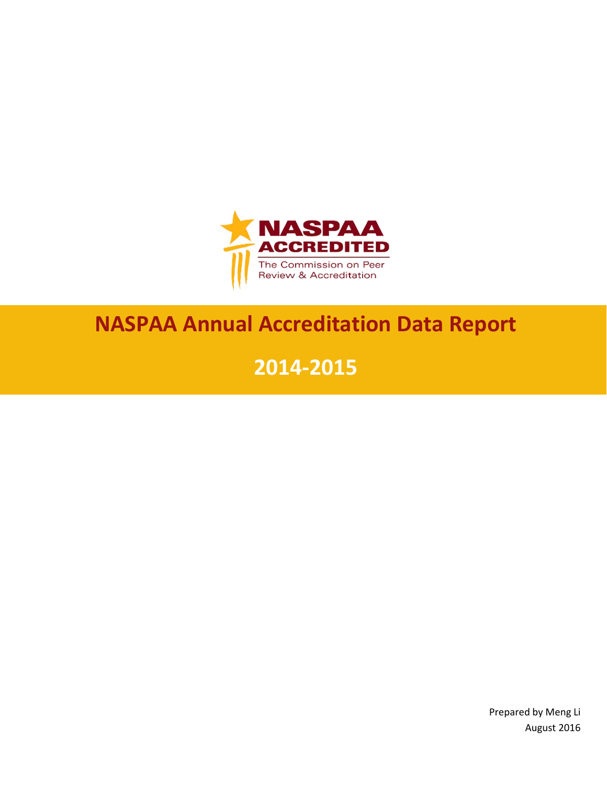

# **NASPAA Annual Accreditation Data Report**

# **2014-2015**

Prepared by Meng Li August 2016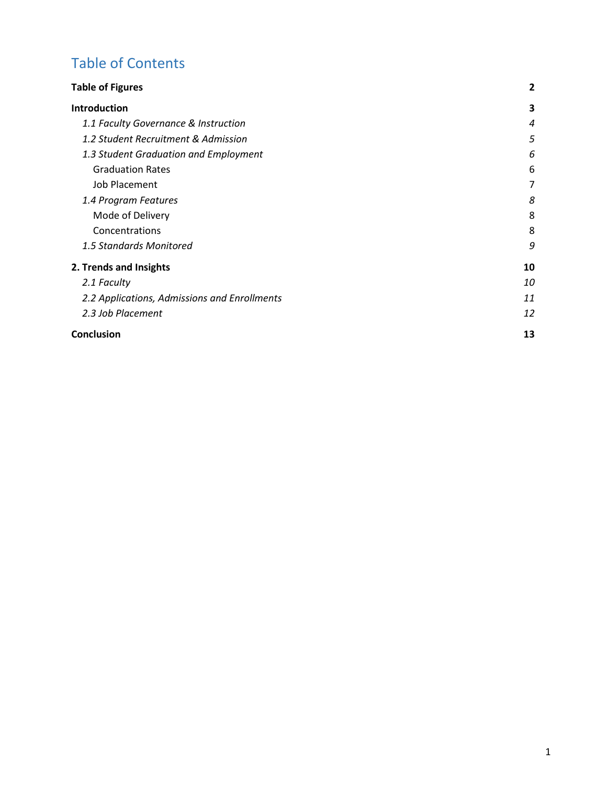# Table of Contents

| <b>Table of Figures</b>                      | $\mathbf{2}$     |
|----------------------------------------------|------------------|
| <b>Introduction</b>                          | 3                |
| 1.1 Faculty Governance & Instruction         | $\boldsymbol{4}$ |
| 1.2 Student Recruitment & Admission          | 5                |
| 1.3 Student Graduation and Employment        | 6                |
| <b>Graduation Rates</b>                      | 6                |
| Job Placement                                | 7                |
| 1.4 Program Features                         | 8                |
| Mode of Delivery                             | 8                |
| Concentrations                               | 8                |
| 1.5 Standards Monitored                      | 9                |
| 2. Trends and Insights                       | 10               |
| 2.1 Faculty                                  | 10               |
| 2.2 Applications, Admissions and Enrollments | 11               |
| 2.3 Job Placement                            | 12               |
| <b>Conclusion</b>                            | 13               |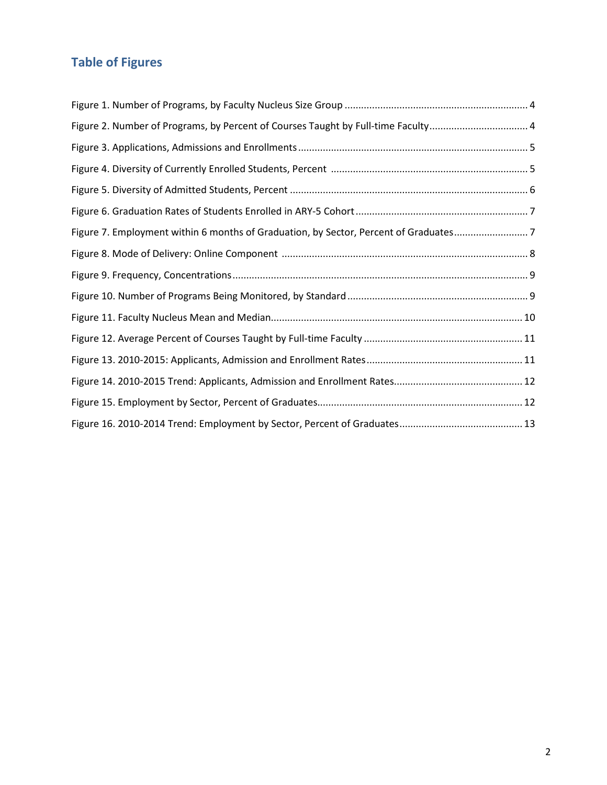# <span id="page-2-0"></span>**Table of Figures**

| Figure 2. Number of Programs, by Percent of Courses Taught by Full-time Faculty 4    |  |
|--------------------------------------------------------------------------------------|--|
|                                                                                      |  |
|                                                                                      |  |
|                                                                                      |  |
|                                                                                      |  |
| Figure 7. Employment within 6 months of Graduation, by Sector, Percent of Graduates7 |  |
|                                                                                      |  |
|                                                                                      |  |
|                                                                                      |  |
|                                                                                      |  |
|                                                                                      |  |
|                                                                                      |  |
|                                                                                      |  |
|                                                                                      |  |
|                                                                                      |  |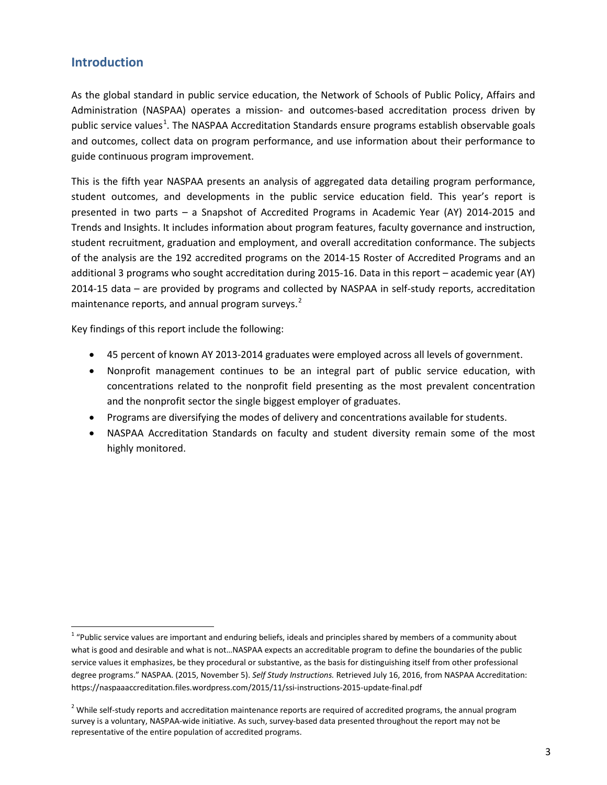# <span id="page-3-0"></span>**Introduction**

l

As the global standard in public service education, the Network of Schools of Public Policy, Affairs and Administration (NASPAA) operates a mission- and outcomes-based accreditation process driven by public service values<sup>[1](#page-3-1)</sup>. The NASPAA Accreditation Standards ensure programs establish observable goals and outcomes, collect data on program performance, and use information about their performance to guide continuous program improvement.

This is the fifth year NASPAA presents an analysis of aggregated data detailing program performance, student outcomes, and developments in the public service education field. This year's report is presented in two parts – a Snapshot of Accredited Programs in Academic Year (AY) 2014-2015 and Trends and Insights. It includes information about program features, faculty governance and instruction, student recruitment, graduation and employment, and overall accreditation conformance. The subjects of the analysis are the 192 accredited programs on the 2014-15 Roster of Accredited Programs and an additional 3 programs who sought accreditation during 2015-16. Data in this report – academic year (AY) 2014-15 data – are provided by programs and collected by NASPAA in self-study reports, accreditation maintenance reports, and annual program surveys.<sup>[2](#page-3-2)</sup>

Key findings of this report include the following:

- 45 percent of known AY 2013-2014 graduates were employed across all levels of government.
- Nonprofit management continues to be an integral part of public service education, with concentrations related to the nonprofit field presenting as the most prevalent concentration and the nonprofit sector the single biggest employer of graduates.
- Programs are diversifying the modes of delivery and concentrations available for students.
- NASPAA Accreditation Standards on faculty and student diversity remain some of the most highly monitored.

<span id="page-3-1"></span> $1$  "Public service values are important and enduring beliefs, ideals and principles shared by members of a community about what is good and desirable and what is not…NASPAA expects an accreditable program to define the boundaries of the public service values it emphasizes, be they procedural or substantive, as the basis for distinguishing itself from other professional degree programs." NASPAA. (2015, November 5). *Self Study Instructions.* Retrieved July 16, 2016, from NASPAA Accreditation: https://naspaaaccreditation.files.wordpress.com/2015/11/ssi-instructions-2015-update-final.pdf

<span id="page-3-2"></span> $<sup>2</sup>$  While self-study reports and accreditation maintenance reports are required of accredited programs, the annual program</sup> survey is a voluntary, NASPAA-wide initiative. As such, survey-based data presented throughout the report may not be representative of the entire population of accredited programs.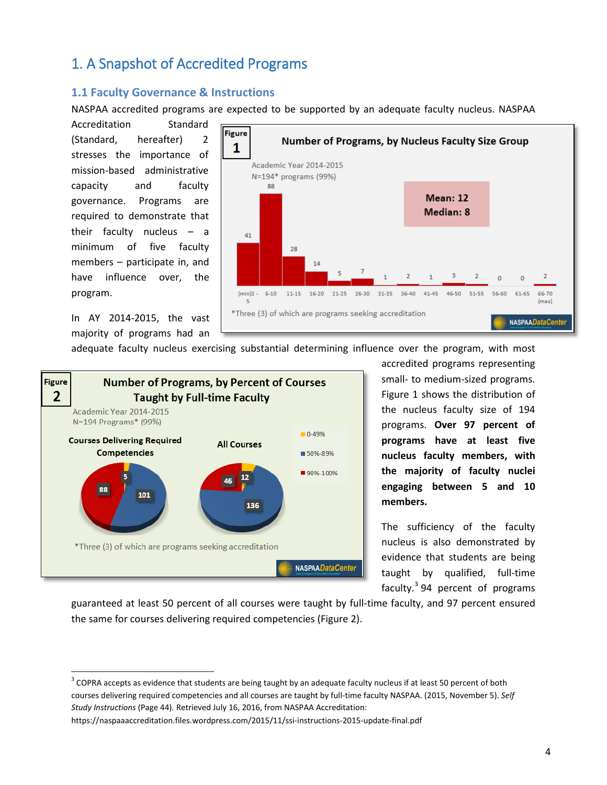# <span id="page-4-0"></span>1. A Snapshot of Accredited Programs

## **1.1 Faculty Governance & Instructions**

NASPAA accredited programs are expected to be supported by an adequate faculty nucleus. NASPAA

Accreditation Standard (Standard, hereafter) 2 stresses the importance of mission-based administrative capacity and faculty governance. Programs are required to demonstrate that their faculty nucleus – a minimum of five faculty members – participate in, and have influence over, the program.



In AY 2014-2015, the vast majority of programs had an

 $\overline{\phantom{a}}$ 





accredited programs representing small- to medium-sized programs. Figure 1 shows the distribution of the nucleus faculty size of 194 programs. **Over 97 percent of programs have at least five nucleus faculty members, with the majority of faculty nuclei engaging between 5 and 10 members.** 

The sufficiency of the faculty nucleus is also demonstrated by evidence that students are being taught by qualified, full-time faculty. $3$  94 percent of programs

guaranteed at least 50 percent of all courses were taught by full-time faculty, and 97 percent ensured the same for courses delivering required competencies (Figure 2).

<span id="page-4-1"></span><sup>&</sup>lt;sup>3</sup> COPRA accepts as evidence that students are being taught by an adequate faculty nucleus if at least 50 percent of both courses delivering required competencies and all courses are taught by full-time faculty NASPAA. (2015, November 5). *Self Study Instructions* (Page 44)*.* Retrieved July 16, 2016, from NASPAA Accreditation: https://naspaaaccreditation.files.wordpress.com/2015/11/ssi-instructions-2015-update-final.pdf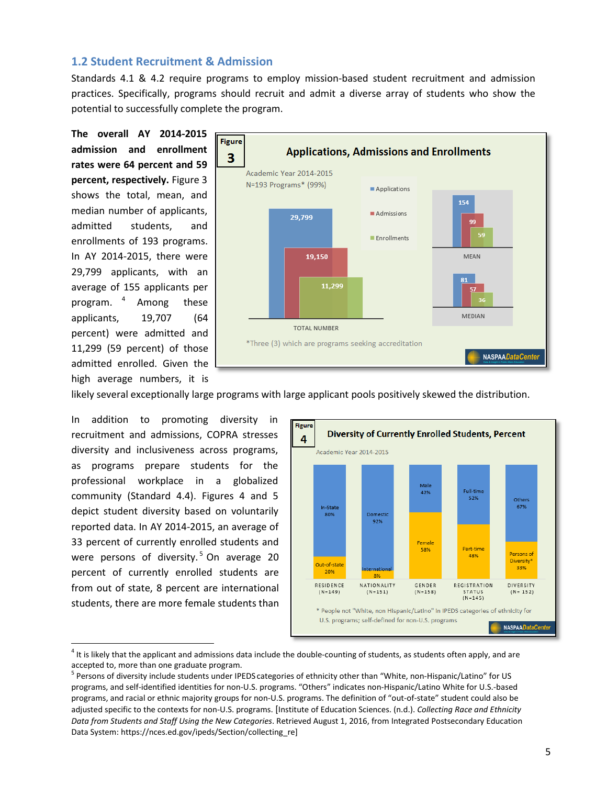### <span id="page-5-0"></span>**1.2 Student Recruitment & Admission**

Standards 4.1 & 4.2 require programs to employ mission-based student recruitment and admission practices. Specifically, programs should recruit and admit a diverse array of students who show the potential to successfully complete the program.

**The overall AY 2014-2015 admission and enrollment rates were 64 percent and 59 percent, respectively.** Figure 3 shows the total, mean, and median number of applicants, admitted students, and enrollments of 193 programs. In AY 2014-2015, there were 29,799 applicants, with an average of 155 applicants per program. [4](#page-5-1) Among these applicants, 19,707 (64 percent) were admitted and 11,299 (59 percent) of those admitted enrolled. Given the high average numbers, it is



likely several exceptionally large programs with large applicant pools positively skewed the distribution.

In addition to promoting diversity in recruitment and admissions, COPRA stresses diversity and inclusiveness across programs, as programs prepare students for the professional workplace in a globalized community (Standard 4.4). Figures 4 and 5 depict student diversity based on voluntarily reported data. In AY 2014-2015, an average of 33 percent of currently enrolled students and were persons of diversity.<sup>[5](#page-5-1)</sup> On average 20 percent of currently enrolled students are from out of state, 8 percent are international students, there are more female students than

 $\overline{\phantom{a}}$ 



<span id="page-5-1"></span> $4$  It is likely that the applicant and admissions data include the double-counting of students, as students often apply, and are accepted to, more than one graduate program.

<sup>&</sup>lt;sup>5</sup> Persons of diversity include students under IPEDS categories of ethnicity other than "White, non-Hispanic/Latino" for US programs, and self-identified identities for non-U.S. programs. "Others" indicates non-Hispanic/Latino White for U.S.-based programs, and racial or ethnic majority groups for non-U.S. programs. The definition of "out-of-state" student could also be adjusted specific to the contexts for non-U.S. programs. [Institute of Education Sciences. (n.d.). *Collecting Race and Ethnicity Data from Students and Staff Using the New Categories*. Retrieved August 1, 2016, from Integrated Postsecondary Education Data System: https://nces.ed.gov/ipeds/Section/collecting\_re]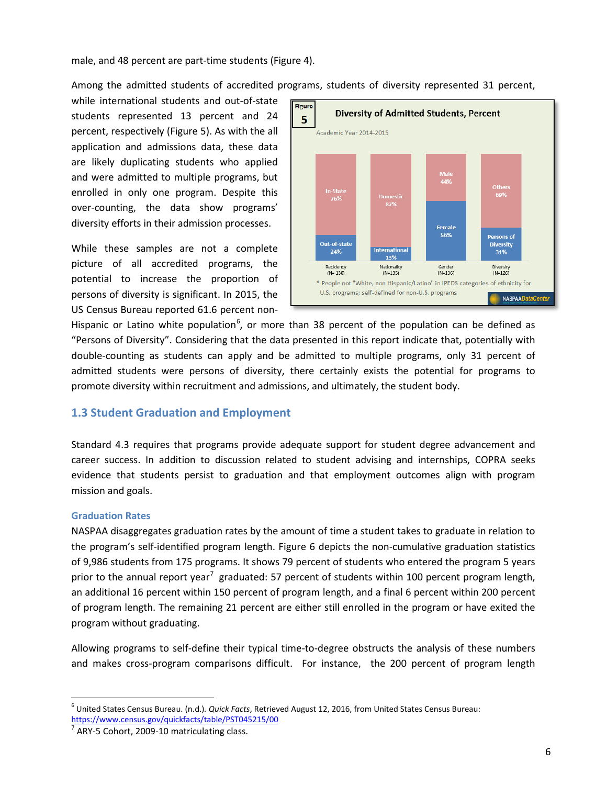male, and 48 percent are part-time students (Figure 4).

Among the admitted students of accredited programs, students of diversity represented 31 percent,

while international students and out-of-state students represented 13 percent and 24 percent, respectively (Figure 5). As with the all application and admissions data, these data are likely duplicating students who applied and were admitted to multiple programs, but enrolled in only one program. Despite this over-counting, the data show programs' diversity efforts in their admission processes.

While these samples are not a complete picture of all accredited programs, the potential to increase the proportion of persons of diversity is significant. In 2015, the US Census Bureau reported 61.6 percent non-



Hispanic or Latino white population<sup>[6](#page-6-2)</sup>, or more than 38 percent of the population can be defined as "Persons of Diversity". Considering that the data presented in this report indicate that, potentially with double-counting as students can apply and be admitted to multiple programs, only 31 percent of admitted students were persons of diversity, there certainly exists the potential for programs to promote diversity within recruitment and admissions, and ultimately, the student body.

# <span id="page-6-0"></span>**1.3 Student Graduation and Employment**

Standard 4.3 requires that programs provide adequate support for student degree advancement and career success. In addition to discussion related to student advising and internships, COPRA seeks evidence that students persist to graduation and that employment outcomes align with program mission and goals.

#### <span id="page-6-1"></span>**Graduation Rates**

l

NASPAA disaggregates graduation rates by the amount of time a student takes to graduate in relation to the program's self-identified program length. Figure 6 depicts the non-cumulative graduation statistics of 9,986 students from 175 programs. It shows 79 percent of students who entered the program 5 years prior to the annual report year<sup>[7](#page-6-2)</sup> graduated: 57 percent of students within 100 percent program length, an additional 16 percent within 150 percent of program length, and a final 6 percent within 200 percent of program length. The remaining 21 percent are either still enrolled in the program or have exited the program without graduating.

Allowing programs to self-define their typical time-to-degree obstructs the analysis of these numbers and makes cross-program comparisons difficult. For instance, the 200 percent of program length

<span id="page-6-2"></span><sup>6</sup> United States Census Bureau. (n.d.)*. Quick Facts*, Retrieved August 12, 2016, from United States Census Bureau: <https://www.census.gov/quickfacts/table/PST045215/00>

ARY-5 Cohort, 2009-10 matriculating class.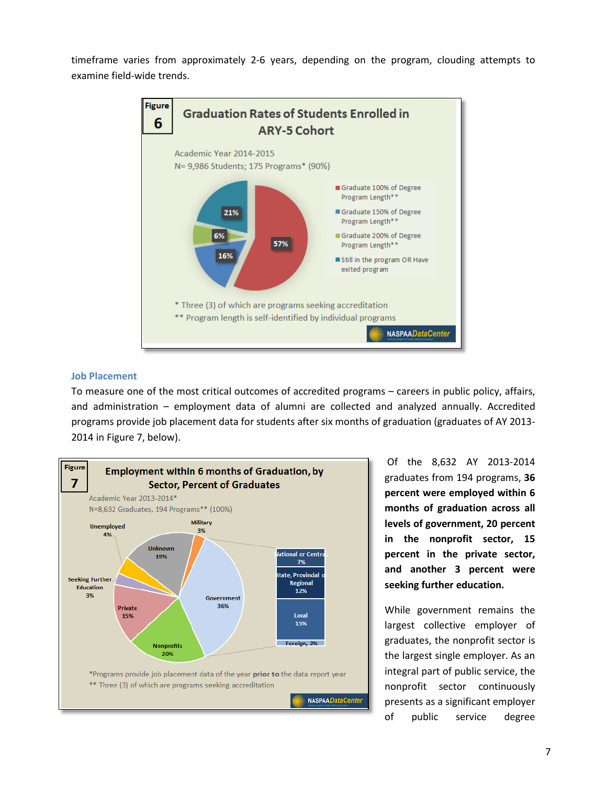timeframe varies from approximately 2-6 years, depending on the program, clouding attempts to examine field-wide trends.



#### <span id="page-7-0"></span>**Job Placement**

To measure one of the most critical outcomes of accredited programs – careers in public policy, affairs, and administration – employment data of alumni are collected and analyzed annually. Accredited programs provide job placement data for students after six months of graduation (graduates of AY 2013- 2014 in Figure 7, below).



Of the 8,632 AY 2013-2014 graduates from 194 programs, **36 percent were employed within 6 months of graduation across all levels of government, 20 percent in the nonprofit sector, 15 percent in the private sector, and another 3 percent were seeking further education.**

While government remains the largest collective employer of graduates, the nonprofit sector is the largest single employer. As an integral part of public service, the nonprofit sector continuously presents as a significant employer of public service degree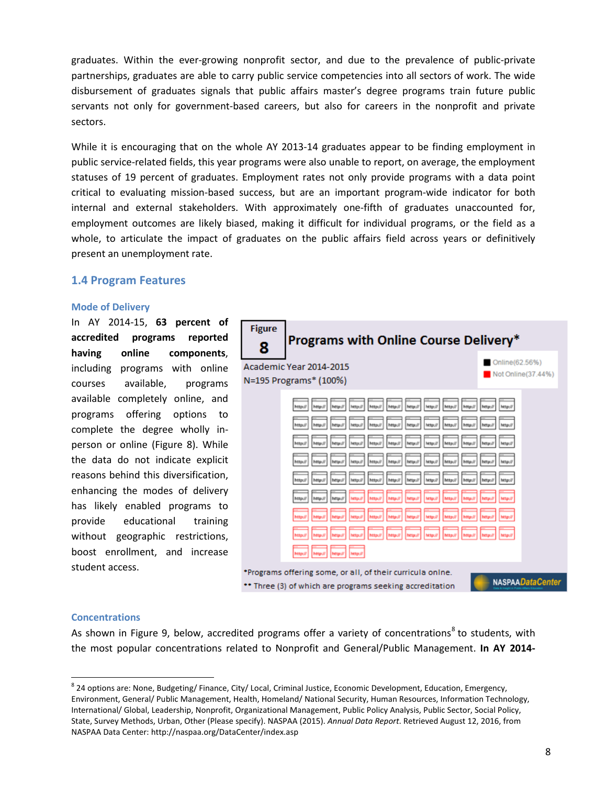graduates. Within the ever-growing nonprofit sector, and due to the prevalence of public-private partnerships, graduates are able to carry public service competencies into all sectors of work. The wide disbursement of graduates signals that public affairs master's degree programs train future public servants not only for government-based careers, but also for careers in the nonprofit and private sectors.

While it is encouraging that on the whole AY 2013-14 graduates appear to be finding employment in public service-related fields, this year programs were also unable to report, on average, the employment statuses of 19 percent of graduates. Employment rates not only provide programs with a data point critical to evaluating mission-based success, but are an important program-wide indicator for both internal and external stakeholders. With approximately one-fifth of graduates unaccounted for, employment outcomes are likely biased, making it difficult for individual programs, or the field as a whole, to articulate the impact of graduates on the public affairs field across years or definitively present an unemployment rate.

### <span id="page-8-0"></span>**1.4 Program Features**

#### <span id="page-8-1"></span>**Mode of Delivery**

In AY 2014-15, **63 percent of accredited programs reported having online components**, including programs with online courses available, programs available completely online, and programs offering options to complete the degree wholly inperson or online (Figure 8). While the data do not indicate explicit reasons behind this diversification, enhancing the modes of delivery has likely enabled programs to provide educational training without geographic restrictions, boost enrollment, and increase student access.



#### <span id="page-8-2"></span>**Concentrations**

 $\overline{\phantom{a}}$ 

As shown in Figure 9, below, accredited programs offer a variety of concentrations<sup>[8](#page-8-3)</sup> to students. with the most popular concentrations related to Nonprofit and General/Public Management. **In AY 2014-**

<span id="page-8-3"></span><sup>&</sup>lt;sup>8</sup> 24 options are: None, Budgeting/ Finance, City/ Local, Criminal Justice, Economic Development, Education, Emergency, Environment, General/ Public Management, Health, Homeland/ National Security, Human Resources, Information Technology, International/ Global, Leadership, Nonprofit, Organizational Management, Public Policy Analysis, Public Sector, Social Policy, State, Survey Methods, Urban, Other (Please specify). NASPAA (2015). *Annual Data Report*. Retrieved August 12, 2016, from NASPAA Data Center: http://naspaa.org/DataCenter/index.asp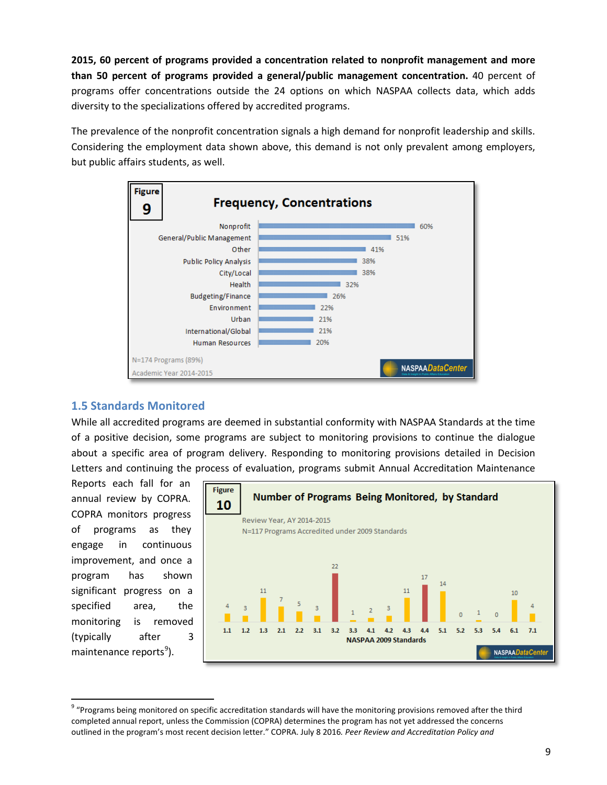**2015, 60 percent of programs provided a concentration related to nonprofit management and more than 50 percent of programs provided a general/public management concentration.** 40 percent of programs offer concentrations outside the 24 options on which NASPAA collects data, which adds diversity to the specializations offered by accredited programs.

The prevalence of the nonprofit concentration signals a high demand for nonprofit leadership and skills. Considering the employment data shown above, this demand is not only prevalent among employers, but public affairs students, as well.



# <span id="page-9-0"></span>**1.5 Standards Monitored**

While all accredited programs are deemed in substantial conformity with NASPAA Standards at the time of a positive decision, some programs are subject to monitoring provisions to continue the dialogue about a specific area of program delivery. Responding to monitoring provisions detailed in Decision Letters and continuing the process of evaluation, programs submit Annual Accreditation Maintenance

Reports each fall for an annual review by COPRA. COPRA monitors progress of programs as they engage in continuous improvement, and once a program has shown significant progress on a specified area, the monitoring is removed (typically after 3 maintenance reports<sup>[9](#page-9-1)</sup>).

 $\overline{\phantom{a}}$ 



<span id="page-9-1"></span><sup>&</sup>lt;sup>9</sup> "Programs being monitored on specific accreditation standards will have the monitoring provisions removed after the third completed annual report, unless the Commission (COPRA) determines the program has not yet addressed the concerns outlined in the program's most recent decision letter." COPRA. July 8 2016*. Peer Review and Accreditation Policy and*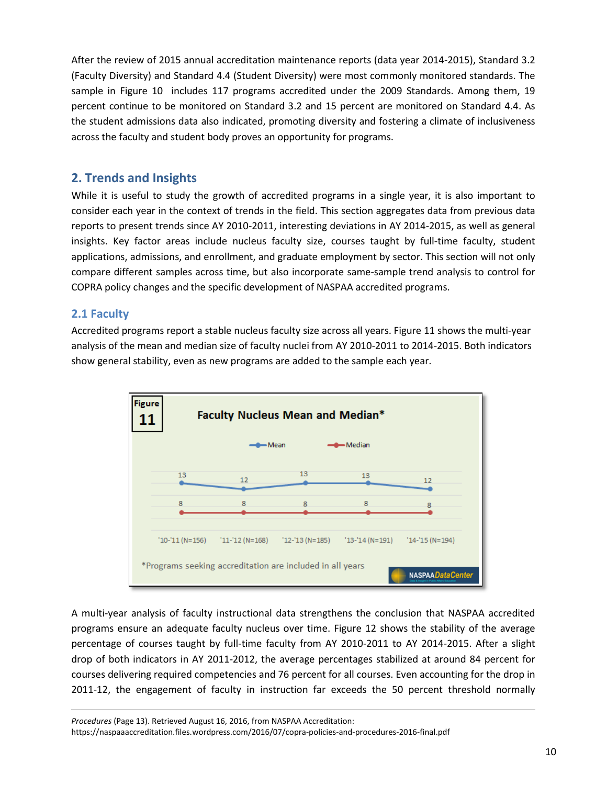After the review of 2015 annual accreditation maintenance reports (data year 2014-2015), Standard 3.2 (Faculty Diversity) and Standard 4.4 (Student Diversity) were most commonly monitored standards. The sample in Figure 10 includes 117 programs accredited under the 2009 Standards. Among them, 19 percent continue to be monitored on Standard 3.2 and 15 percent are monitored on Standard 4.4. As the student admissions data also indicated, promoting diversity and fostering a climate of inclusiveness across the faculty and student body proves an opportunity for programs.

# <span id="page-10-0"></span>**2. Trends and Insights**

While it is useful to study the growth of accredited programs in a single year, it is also important to consider each year in the context of trends in the field. This section aggregates data from previous data reports to present trends since AY 2010-2011, interesting deviations in AY 2014-2015, as well as general insights. Key factor areas include nucleus faculty size, courses taught by full-time faculty, student applications, admissions, and enrollment, and graduate employment by sector. This section will not only compare different samples across time, but also incorporate same-sample trend analysis to control for COPRA policy changes and the specific development of NASPAA accredited programs.

# <span id="page-10-1"></span>**2.1 Faculty**

 $\overline{\phantom{a}}$ 

Accredited programs report a stable nucleus faculty size across all years. Figure 11 shows the multi-year analysis of the mean and median size of faculty nuclei from AY 2010-2011 to 2014-2015. Both indicators show general stability, even as new programs are added to the sample each year.



A multi-year analysis of faculty instructional data strengthens the conclusion that NASPAA accredited programs ensure an adequate faculty nucleus over time. Figure 12 shows the stability of the average percentage of courses taught by full-time faculty from AY 2010-2011 to AY 2014-2015. After a slight drop of both indicators in AY 2011-2012, the average percentages stabilized at around 84 percent for courses delivering required competencies and 76 percent for all courses. Even accounting for the drop in 2011-12, the engagement of faculty in instruction far exceeds the 50 percent threshold normally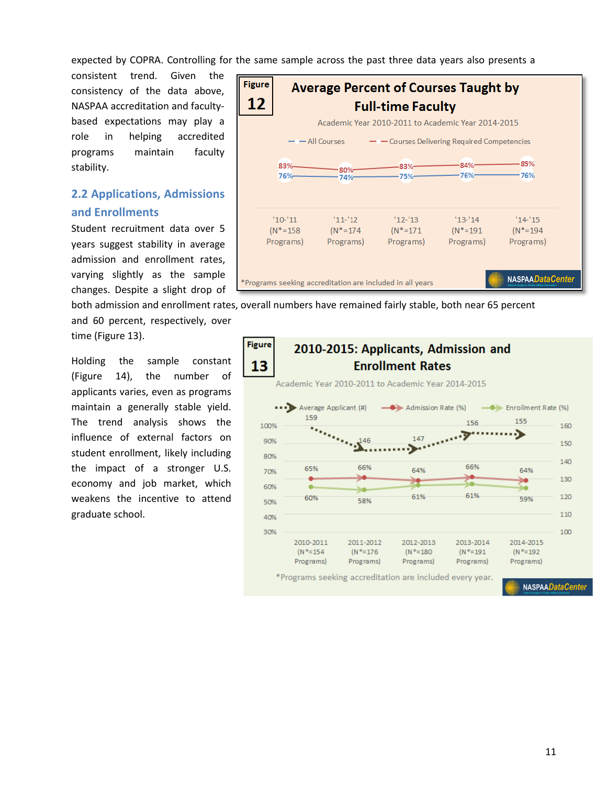expected by COPRA. Controlling for the same sample across the past three data years also presents a

consistent trend. Given the consistency of the data above, NASPAA accreditation and facultybased expectations may play a role in helping accredited programs maintain faculty stability.

# <span id="page-11-0"></span>**2.2 Applications, Admissions and Enrollments**

Student recruitment data over 5 years suggest stability in average admission and enrollment rates, varying slightly as the sample changes. Despite a slight drop of

**Figure Average Percent of Courses Taught by** 12 **Full-time Faculty** Academic Year 2010-2011 to Academic Year 2014-2015  $-$  All Courses - - Courses Delivering Required Competencies 85%  $-84%$ 83%  $-83%$  $-80%$  $-76%$  $-76%$ 76%  $-75%$  $-74%$  $'10-'11$  $'11-'12$  $'12-'13$  $'13-'14$  $'14'15$  $(N^* = 174)$  $(N^* = 158)$  $(N^* = 171$  $(N^* = 191)$  $(N^* = 194)$ Programs) Programs) Programs) Programs) Programs) NASPAADataCenter \*Programs seeking accreditation are included in all years

both admission and enrollment rates, overall numbers have remained fairly stable, both near 65 percent and 60 percent, respectively, over

time (Figure 13).

Holding the sample constant (Figure 14), the number of applicants varies, even as programs maintain a generally stable yield. The trend analysis shows the influence of external factors on student enrollment, likely including the impact of a stronger U.S. economy and job market, which weakens the incentive to attend graduate school.

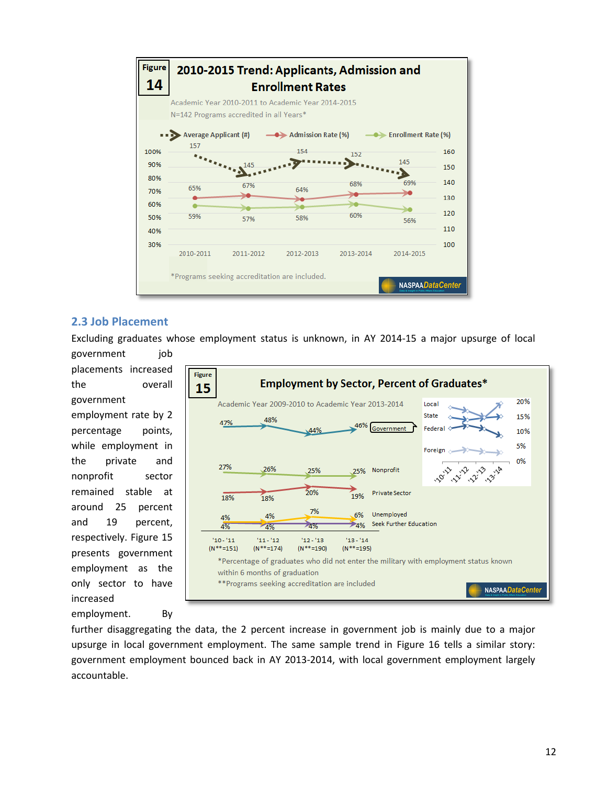

## <span id="page-12-0"></span>**2.3 Job Placement**

Excluding graduates whose employment status is unknown, in AY 2014-15 a major upsurge of local government job

placements increased the overall government employment rate by 2 percentage points, while employment in the private and nonprofit sector remained stable at around 25 percent and 19 percent, respectively. Figure 15 presents government employment as the only sector to have increased

employment. By

**Figure Employment by Sector, Percent of Graduates\*** 15 20% Academic Year 2009-2010 to Academic Year 2013-2014 Local State 15% 48% 47% 46% Government Fede 44% 10% 5% Foreign 0% 1212 21.13 1012 3.14 27% 26% 25% 25% Nonprofit 20% **Private Sector** 19% 18% 18% 7% Unemployed 4% 6%  $4%$ Seek Further Education  $\geq 4\%$ 4%  $-4%$ 4%  $'10 - '11$  $11 - 12$  $'12 - '13$  $13 - 14$  $(N***=151)$  $(N**=190)$  $(N **=174)$  $(N**=195)$ \*Percentage of graduates who did not enter the military with employment status known within 6 months of graduation \*\*Programs seeking accreditation are included **NASPAADataCenter** 

further disaggregating the data, the 2 percent increase in government job is mainly due to a major upsurge in local government employment. The same sample trend in Figure 16 tells a similar story: government employment bounced back in AY 2013-2014, with local government employment largely accountable.